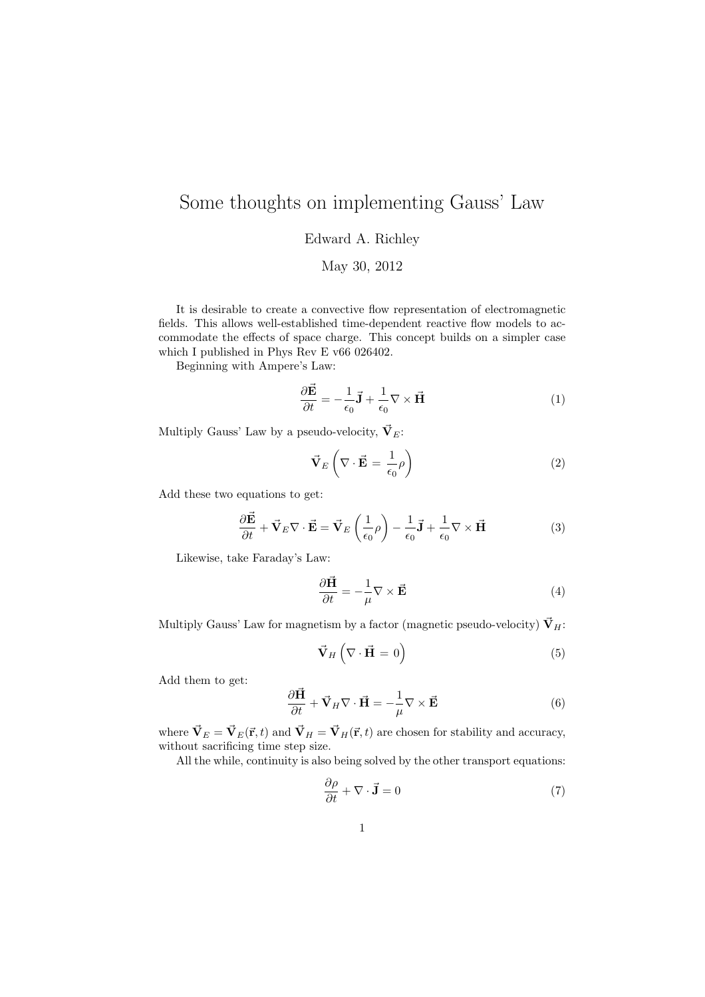## Some thoughts on implementing Gauss' Law

Edward A. Richley

May 30, 2012

It is desirable to create a convective flow representation of electromagnetic fields. This allows well-established time-dependent reactive flow models to accommodate the effects of space charge. This concept builds on a simpler case which I published in Phys Rev E v66 026402.

Beginning with Ampere's Law:

$$
\frac{\partial \vec{\mathbf{E}}}{\partial t} = -\frac{1}{\epsilon_0} \vec{\mathbf{J}} + \frac{1}{\epsilon_0} \nabla \times \vec{\mathbf{H}} \tag{1}
$$

Multiply Gauss' Law by a pseudo-velocity,  $\vec{V}_E$ :

$$
\vec{\mathbf{V}}_E \left( \nabla \cdot \vec{\mathbf{E}} = \frac{1}{\epsilon_0} \rho \right) \tag{2}
$$

Add these two equations to get:

$$
\frac{\partial \vec{\mathbf{E}}}{\partial t} + \vec{\mathbf{V}}_E \nabla \cdot \vec{\mathbf{E}} = \vec{\mathbf{V}}_E \left( \frac{1}{\epsilon_0} \rho \right) - \frac{1}{\epsilon_0} \vec{\mathbf{J}} + \frac{1}{\epsilon_0} \nabla \times \vec{\mathbf{H}} \tag{3}
$$

Likewise, take Faraday's Law:

$$
\frac{\partial \vec{\mathbf{H}}}{\partial t} = -\frac{1}{\mu} \nabla \times \vec{\mathbf{E}} \tag{4}
$$

Multiply Gauss' Law for magnetism by a factor (magnetic pseudo-velocity)  $\vec{\mathbf{V}}_H$ :

$$
\vec{\mathbf{V}}_H \left( \nabla \cdot \vec{\mathbf{H}} = 0 \right) \tag{5}
$$

Add them to get:

$$
\frac{\partial \vec{\mathbf{H}}}{\partial t} + \vec{\mathbf{V}}_H \nabla \cdot \vec{\mathbf{H}} = -\frac{1}{\mu} \nabla \times \vec{\mathbf{E}} \tag{6}
$$

where  $\vec{\bf V}_E = \vec{\bf V}_E(\vec{\bf r}, t)$  and  $\vec{\bf V}_H = \vec{\bf V}_H(\vec{\bf r}, t)$  are chosen for stability and accuracy, without sacrificing time step size.

All the while, continuity is also being solved by the other transport equations:

$$
\frac{\partial \rho}{\partial t} + \nabla \cdot \vec{\mathbf{J}} = 0 \tag{7}
$$